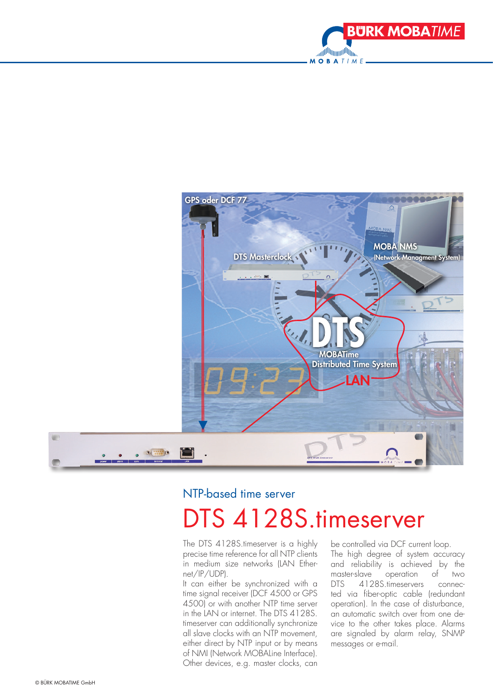



### NTP-based time server

# DTS 4128S.timeserver

The DTS 4128S.timeserver is a highly precise time reference for all NTP clients in medium size networks (LAN Ethernet/IP/UDP).

It can either be synchronized with a time signal receiver (DCF 4500 or GPS 4500) or with another NTP time server in the LAN or internet. The DTS 4128S. timeserver can additionally synchronize all slave clocks with an NTP movement, either direct by NTP input or by means of NMI (Network MOBALine Interface). Other devices, e.g. master clocks, can be controlled via DCF current loop. The high degree of system accuracy and reliability is achieved by the master-slave operation of two DTS 4128S.timeservers connected via fiber-optic cable (redundant operation). In the case of disturbance, an automatic switch over from one device to the other takes place. Alarms are signaled by alarm relay, SNMP messages or e-mail.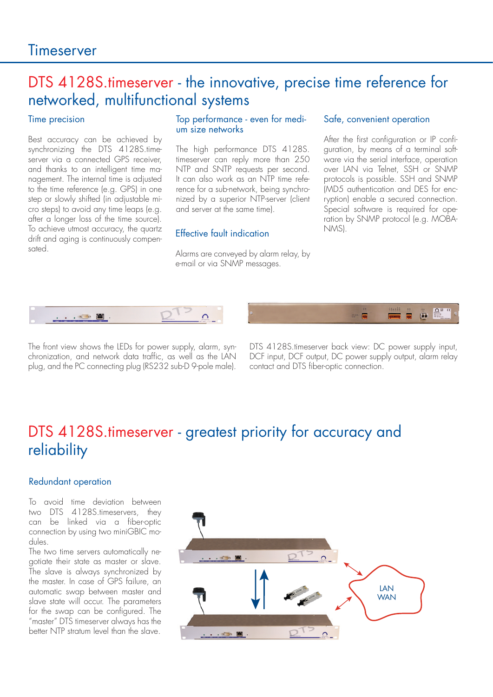### DTS 4128S.timeserver - the innovative, precise time reference for networked, multifunctional systems

#### Time precision

Best accuracy can be achieved by synchronizing the DTS 4128S.timeserver via a connected GPS receiver, and thanks to an intelligent time management. The internal time is adjusted to the time reference (e.g. GPS) in one step or slowly shifted (in adjustable micro steps) to avoid any time leaps (e.g. after a longer loss of the time source). To achieve utmost accuracy, the quartz drift and aging is continuously compensated.

#### Top performance - even for medium size networks

The high performance DTS 4128S. timeserver can reply more than 250 NTP and SNTP requests per second. It can also work as an NTP time reference for a sub-network, being synchronized by a superior NTP-server (client and server at the same time).

### NMS). Effective fault indication

Alarms are conveyed by alarm relay, by e-mail or via SNMP messages.

#### Safe, convenient operation

After the first configuration or IP configuration, by means of a terminal software via the serial interface, operation over LAN via Telnet, SSH or SNMP protocols is possible. SSH and SNMP (MD5 authentication and DES for encryption) enable a secured connection. Special software is required for operation by SNMP protocol (e.g. MOBA-



The front view shows the LEDs for power supply, alarm, synchronization, and network data traffic, as well as the LAN plug, and the PC connecting plug (RS232 sub-D 9-pole male).

DTS 4128S.timeserver back view: DC power supply input, DCF input, DCF output, DC power supply output, alarm relay contact and DTS fiber-optic connection.

## DTS 4128S.timeserver - greatest priority for accuracy and reliability

#### Redundant operation

To avoid time deviation between two DTS 4128S.timeservers, they can be linked via a fiber-optic connection by using two miniGBIC modules.

The two time servers automatically negotiate their state as master or slave. The slave is always synchronized by the master. In case of GPS failure, an automatic swap between master and slave state will occur. The parameters for the swap can be configured. The "master" DTS timeserver always has the better NTP stratum level than the slave.

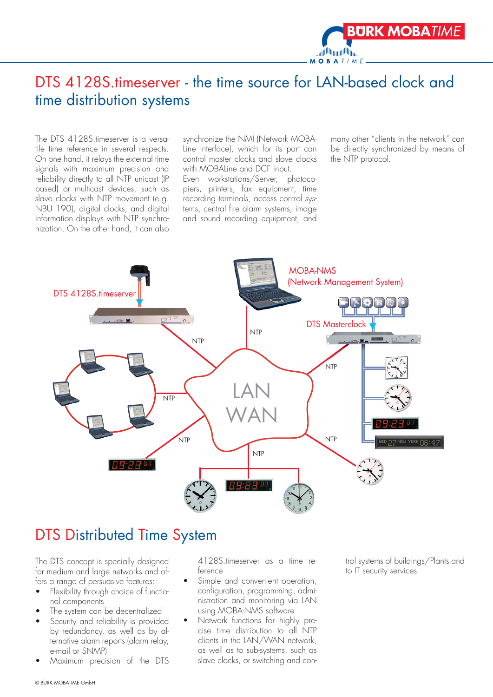

The DTS 4128S.timeserver is a versatile time reference in several respects. On one hand, it relays the external time signals with maximum precision and reliability directly to all NTP unicast (IP based) or multicast devices, such as slave clocks with NTP movement (e.g. NBU 190), digital clocks, and digital information displays with NTP synchronization. On the other hand, it can also

synchronize the NMI (Network MOBA-Line Interface), which for its part can control master clocks and slave clocks with MOBALine and DCF input.

Even workstations/Server, photocopiers, printers, fax equipment, time recording terminals, access control systems, central fire alarm systems, image and sound recording equipment, and

many other "clients in the network" can be directly synchronized by means of the NTP protocol.

**BÜRK MOBATIME** 



## DTS Distributed Time System

The DTS concept is specially designed for medium and large networks and offers a range of persuasive features:

- Flexibility through choice of functional components
- The system can be decentralized
- Security and reliability is provided by redundancy, as well as by alternative alarm reports (alarm relay, e-mail or SNMP)
- Maximum precision of the DTS

4128S.timeserver as a time reference

- Simple and convenient operation, configuration, programming, administration and monitoring via LAN using MOBA-NMS software
- Network functions for highly precise time distribution to all NTP clients in the LAN/WAN network, as well as to sub-systems, such as slave clocks, or switching and con-

trol systems of buildings/Plants and to IT security services